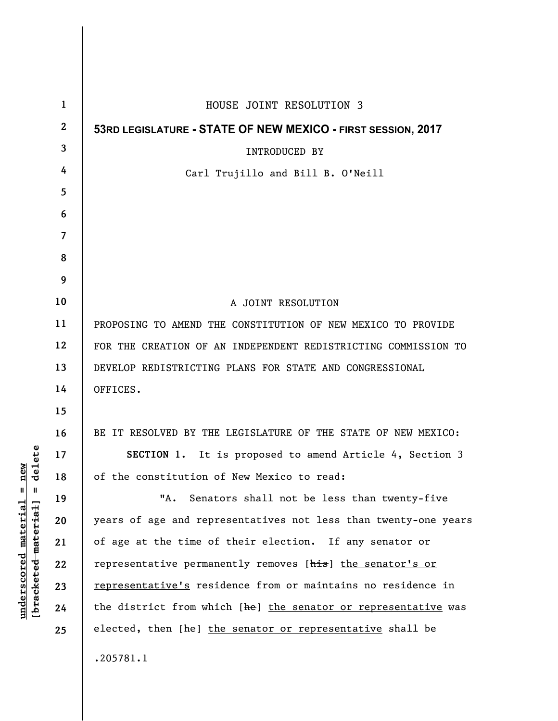| $\mathbf{1}$     | HOUSE JOINT RESOLUTION 3                                        |
|------------------|-----------------------------------------------------------------|
| $\boldsymbol{2}$ | 53RD LEGISLATURE - STATE OF NEW MEXICO - FIRST SESSION, 2017    |
| 3                | <b>INTRODUCED BY</b>                                            |
| 4                | Carl Trujillo and Bill B. O'Neill                               |
| 5                |                                                                 |
| 6                |                                                                 |
| 7                |                                                                 |
| 8                |                                                                 |
| 9                |                                                                 |
| 10               | A JOINT RESOLUTION                                              |
| 11               | PROPOSING TO AMEND THE CONSTITUTION OF NEW MEXICO TO PROVIDE    |
| 12               | FOR THE CREATION OF AN INDEPENDENT REDISTRICTING COMMISSION TO  |
| 13               | DEVELOP REDISTRICTING PLANS FOR STATE AND CONGRESSIONAL         |
| 14               | OFFICES.                                                        |
| 15               |                                                                 |
| 16               | BE IT RESOLVED BY THE LEGISLATURE OF THE STATE OF NEW MEXICO:   |
| 17               | SECTION 1. It is proposed to amend Article 4, Section 3         |
| 18               | of the constitution of New Mexico to read:                      |
| 19               | "A. Senators shall not be less than twenty-five                 |
| 20               | years of age and representatives not less than twenty-one years |
| 21               | of age at the time of their election. If any senator or         |
| 22               | representative permanently removes [his] the senator's or       |
| 23               | representative's residence from or maintains no residence in    |
| 24               | the district from which [he] the senator or representative was  |
| 25               | elected, then [he] the senator or representative shall be       |
|                  | .205781.1                                                       |

 $\overline{\phantom{a}}$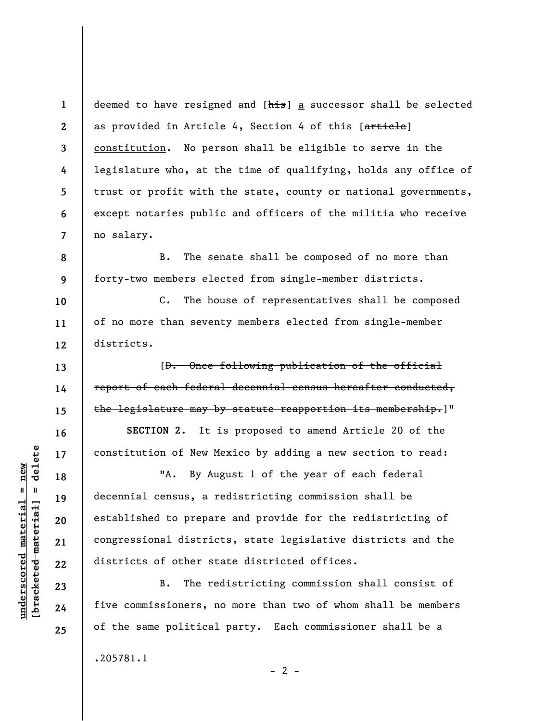**1 2 3 4 5 6 7**  deemed to have resigned and [his] a successor shall be selected as provided in Article 4, Section 4 of this [article] constitution. No person shall be eligible to serve in the legislature who, at the time of qualifying, holds any office of trust or profit with the state, county or national governments, except notaries public and officers of the militia who receive no salary.

B. The senate shall be composed of no more than forty-two members elected from single-member districts.

C. The house of representatives shall be composed of no more than seventy members elected from single-member districts.

[D. Once following publication of the official report of each federal decennial census hereafter conducted, the legislature may by statute reapportion its membership.]"

**SECTION 2.** It is proposed to amend Article 20 of the constitution of New Mexico by adding a new section to read:

"A. By August 1 of the year of each federal decennial census, a redistricting commission shall be established to prepare and provide for the redistricting of congressional districts, state legislative districts and the districts of other state districted offices.

B. The redistricting commission shall consist of five commissioners, no more than two of whom shall be members of the same political party. Each commissioner shall be a .205781.1

**8** 

**9** 

**10** 

**11** 

**12** 

**13** 

**14** 

**15** 

**16** 

**17** 

**18** 

**19** 

**20** 

**21** 

**22** 

**23** 

**24** 

**25** 

 $- 2 -$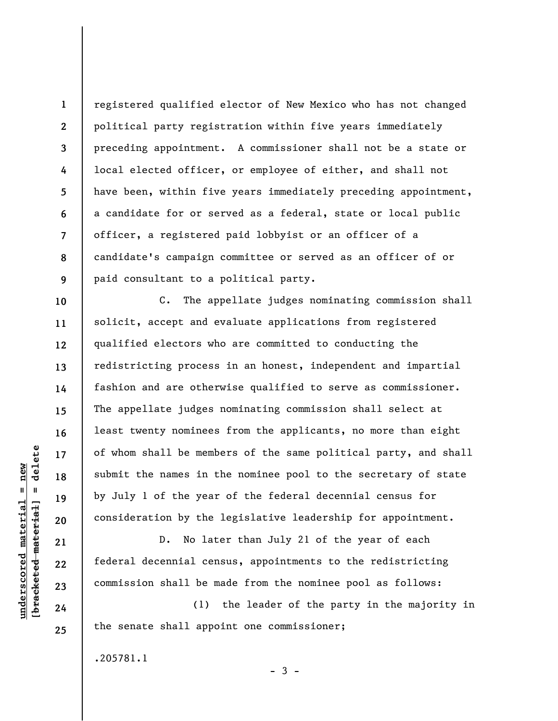**1 2 3 4 5 6 7 8 9**  registered qualified elector of New Mexico who has not changed political party registration within five years immediately preceding appointment. A commissioner shall not be a state or local elected officer, or employee of either, and shall not have been, within five years immediately preceding appointment, a candidate for or served as a federal, state or local public officer, a registered paid lobbyist or an officer of a candidate's campaign committee or served as an officer of or paid consultant to a political party.

C. The appellate judges nominating commission shall solicit, accept and evaluate applications from registered qualified electors who are committed to conducting the redistricting process in an honest, independent and impartial fashion and are otherwise qualified to serve as commissioner. The appellate judges nominating commission shall select at least twenty nominees from the applicants, no more than eight of whom shall be members of the same political party, and shall submit the names in the nominee pool to the secretary of state by July 1 of the year of the federal decennial census for consideration by the legislative leadership for appointment.

D. No later than July 21 of the year of each federal decennial census, appointments to the redistricting commission shall be made from the nominee pool as follows:

(1) the leader of the party in the majority in the senate shall appoint one commissioner;

 $-3 -$ 

.205781.1

delete **[bracketed material] = delete**  $underscored$  material = new **underscored material = new**  $\mathbf{u}$ bracketed material

**10** 

**11** 

**12** 

**13** 

**14** 

**15** 

**16** 

**17** 

**18** 

**19** 

**20** 

**21** 

**22** 

**23** 

**24**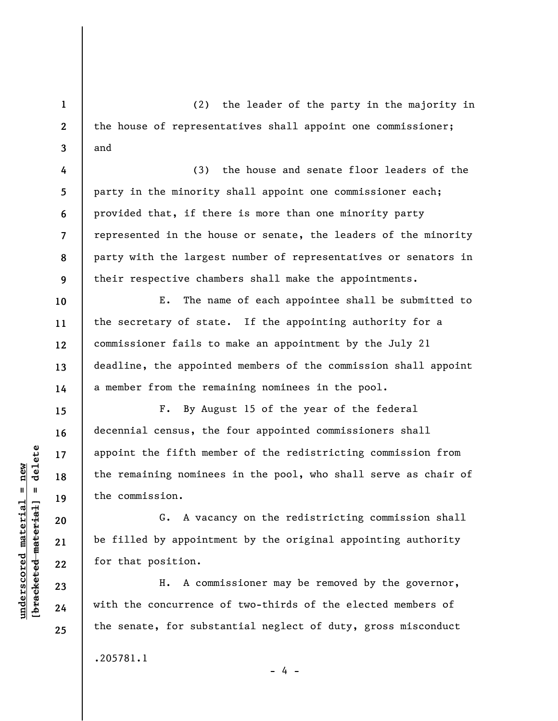(2) the leader of the party in the majority in the house of representatives shall appoint one commissioner; and

(3) the house and senate floor leaders of the party in the minority shall appoint one commissioner each; provided that, if there is more than one minority party represented in the house or senate, the leaders of the minority party with the largest number of representatives or senators in their respective chambers shall make the appointments.

E. The name of each appointee shall be submitted to the secretary of state. If the appointing authority for a commissioner fails to make an appointment by the July 21 deadline, the appointed members of the commission shall appoint a member from the remaining nominees in the pool.

F. By August 15 of the year of the federal decennial census, the four appointed commissioners shall appoint the fifth member of the redistricting commission from the remaining nominees in the pool, who shall serve as chair of the commission.

G. A vacancy on the redistricting commission shall be filled by appointment by the original appointing authority for that position.

H. A commissioner may be removed by the governor, with the concurrence of two-thirds of the elected members of the senate, for substantial neglect of duty, gross misconduct

 $- 4 -$ 

.205781.1

 $\frac{1}{2}$  intereted material = delete **[bracketed material] = delete**  $underscored$  material = new **underscored material = new**

**1** 

**2** 

**3** 

**4** 

**5** 

**6** 

**7** 

**8** 

**9** 

**10** 

**11** 

**12** 

**13** 

**14** 

**15** 

**16** 

**17** 

**18** 

**19** 

**20** 

**21** 

**22** 

**23** 

**24**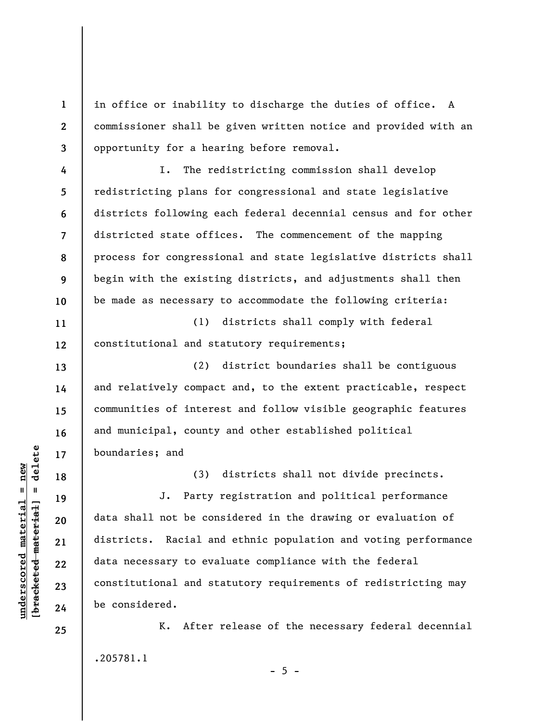in office or inability to discharge the duties of office. A commissioner shall be given written notice and provided with an opportunity for a hearing before removal.

I. The redistricting commission shall develop redistricting plans for congressional and state legislative districts following each federal decennial census and for other districted state offices. The commencement of the mapping process for congressional and state legislative districts shall begin with the existing districts, and adjustments shall then be made as necessary to accommodate the following criteria:

**11 12**  (1) districts shall comply with federal constitutional and statutory requirements;

(2) district boundaries shall be contiguous and relatively compact and, to the extent practicable, respect communities of interest and follow visible geographic features and municipal, county and other established political boundaries; and

> (3) districts shall not divide precincts. J. Party registration and political performance

data shall not be considered in the drawing or evaluation of districts. Racial and ethnic population and voting performance data necessary to evaluate compliance with the federal constitutional and statutory requirements of redistricting may be considered.

K. After release of the necessary federal decennial .205781.1

 $- 5 -$ 

 $\frac{1}{2}$  intereted material = delete **[bracketed material] = delete**  $underscored material = new$ **underscored material = new**

**1** 

**2** 

**3** 

**4** 

**5** 

**6** 

**7** 

**8** 

**9** 

**10** 

**13** 

**14** 

**15** 

**16** 

**17** 

**18** 

**19** 

**20** 

**21** 

**22** 

**23** 

**24**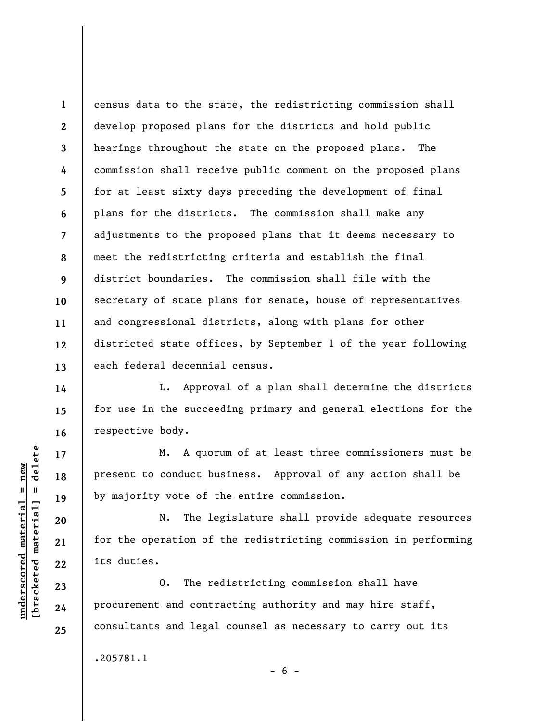census data to the state, the redistricting commission shall develop proposed plans for the districts and hold public hearings throughout the state on the proposed plans. The commission shall receive public comment on the proposed plans for at least sixty days preceding the development of final plans for the districts. The commission shall make any adjustments to the proposed plans that it deems necessary to meet the redistricting criteria and establish the final district boundaries. The commission shall file with the secretary of state plans for senate, house of representatives and congressional districts, along with plans for other districted state offices, by September 1 of the year following each federal decennial census.

L. Approval of a plan shall determine the districts for use in the succeeding primary and general elections for the respective body.

M. A quorum of at least three commissioners must be present to conduct business. Approval of any action shall be by majority vote of the entire commission.

N. The legislature shall provide adequate resources for the operation of the redistricting commission in performing its duties.

 $- 6 -$ 

O. The redistricting commission shall have procurement and contracting authority and may hire staff, consultants and legal counsel as necessary to carry out its

.205781.1

 $\frac{1}{2}$  intereted material = delete **[bracketed material] = delete**  $underscored material = new$ **underscored material = new**

**1** 

**2** 

**3** 

**4** 

**5** 

**6** 

**7** 

**8** 

**9** 

**10** 

**11** 

**12** 

**13** 

**14** 

**15** 

**16** 

**17** 

**18** 

**19** 

**20** 

**21** 

**22** 

**23** 

**24**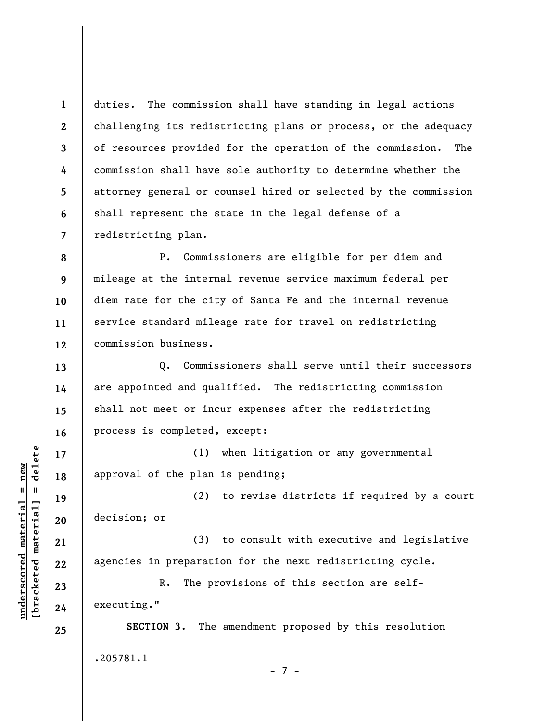**1 2 3 4 5 6 7**  duties. The commission shall have standing in legal actions challenging its redistricting plans or process, or the adequacy of resources provided for the operation of the commission. The commission shall have sole authority to determine whether the attorney general or counsel hired or selected by the commission shall represent the state in the legal defense of a redistricting plan.

**8 9 10 11 12**  P. Commissioners are eligible for per diem and mileage at the internal revenue service maximum federal per diem rate for the city of Santa Fe and the internal revenue service standard mileage rate for travel on redistricting commission business.

Q. Commissioners shall serve until their successors are appointed and qualified. The redistricting commission shall not meet or incur expenses after the redistricting process is completed, except:

(1) when litigation or any governmental approval of the plan is pending;

(2) to revise districts if required by a court decision; or

(3) to consult with executive and legislative agencies in preparation for the next redistricting cycle.

R. The provisions of this section are selfexecuting."

**SECTION 3.** The amendment proposed by this resolution .205781.1

- 7 -

 $b$ racketed material] = delete **[bracketed material] = delete**  $underscored material = new$ **underscored material = new**

**13** 

**14** 

**15** 

**16** 

**17** 

**18** 

**19** 

**20** 

**21** 

**22** 

**23** 

**24**